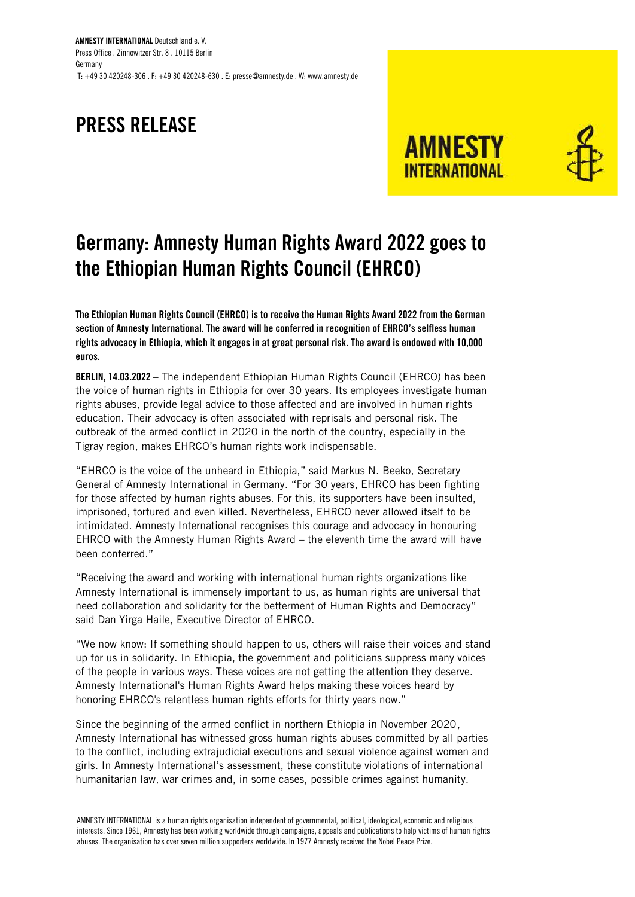AMNESTY INTERNATIONAL Deutschland e. V. Press Office . Zinnowitzer Str. 8 . 10115 Berlin Germany T: +49 30 420248-306 . F: +49 30 420248-630 . E: presse@amnesty.de . W: www.amnesty.de

## PRESS RELEASE





## Germany: Amnesty Human Rights Award 2022 goes to the Ethiopian Human Rights Council (EHRCO)

The Ethiopian Human Rights Council (EHRCO) is to receive the Human Rights Award 2022 from the German section of Amnesty International. The award will be conferred in recognition of EHRCO's selfless human rights advocacy in Ethiopia, which it engages in at great personal risk. The award is endowed with 10,000 euros.

BERLIN, 14.03.2022 – The independent Ethiopian Human Rights Council (EHRCO) has been the voice of human rights in Ethiopia for over 30 years. Its employees investigate human rights abuses, provide legal advice to those affected and are involved in human rights education. Their advocacy is often associated with reprisals and personal risk. The outbreak of the armed conflict in 2020 in the north of the country, especially in the Tigray region, makes EHRCO's human rights work indispensable.

"EHRCO is the voice of the unheard in Ethiopia," said Markus N. Beeko, Secretary General of Amnesty International in Germany. "For 30 years, EHRCO has been fighting for those affected by human rights abuses. For this, its supporters have been insulted, imprisoned, tortured and even killed. Nevertheless, EHRCO never allowed itself to be intimidated. Amnesty International recognises this courage and advocacy in honouring EHRCO with the Amnesty Human Rights Award – the eleventh time the award will have been conferred."

"Receiving the award and working with international human rights organizations like Amnesty International is immensely important to us, as human rights are universal that need collaboration and solidarity for the betterment of Human Rights and Democracy" said Dan Yirga Haile, Executive Director of EHRCO.

"We now know: If something should happen to us, others will raise their voices and stand up for us in solidarity. In Ethiopia, the government and politicians suppress many voices of the people in various ways. These voices are not getting the attention they deserve. Amnesty International's Human Rights Award helps making these voices heard by honoring EHRCO's relentless human rights efforts for thirty years now."

Since the beginning of the armed conflict in northern Ethiopia in November 2020, Amnesty International has witnessed gross human rights abuses committed by all parties to the conflict, including extrajudicial executions and sexual violence against women and girls. In Amnesty International's assessment, these constitute violations of international humanitarian law, war crimes and, in some cases, possible crimes against humanity.

AMNESTY INTERNATIONAL is a human rights organisation independent of governmental, political, ideological, economic and religious interests. Since 1961, Amnesty has been working worldwide through campaigns, appeals and publications to help victims of human rights abuses. The organisation has over seven million supporters worldwide. In 1977 Amnesty received the Nobel Peace Prize.